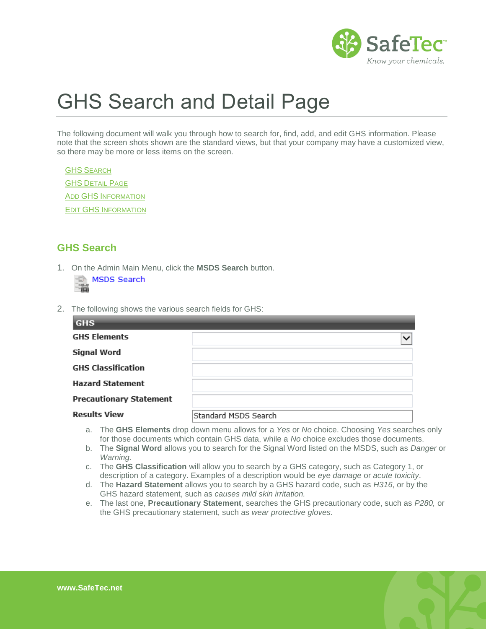

# GHS Search and Detail Page

The following document will walk you through how to search for, find, add, and edit GHS information. Please note that the screen shots shown are the standard views, but that your company may have a customized view, so there may be more or less items on the screen.

**GHS S[EARCH](#page-0-0) [GHS](#page-1-0) DETAIL PAGE** ADD GHS I[NFORMATION](#page-3-0) EDIT GHS I[NFORMATION](#page-4-0)

## <span id="page-0-0"></span>**GHS Search**

1. On the Admin Main Menu, click the **MSDS Search** button. MSDS Search

2. The following shows the various search fields for GHS:

| <b>GHS</b>                     |                      |
|--------------------------------|----------------------|
| <b>GHS Elements</b>            | $\checkmark$         |
| <b>Signal Word</b>             |                      |
| <b>GHS Classification</b>      |                      |
| <b>Hazard Statement</b>        |                      |
| <b>Precautionary Statement</b> |                      |
| <b>Results View</b>            | Standard MSDS Search |

- a. The **GHS Elements** drop down menu allows for a *Yes* or *No* choice. Choosing *Yes* searches only for those documents which contain GHS data, while a *No* choice excludes those documents.
- b. The **Signal Word** allows you to search for the Signal Word listed on the MSDS, such as *Danger* or *Warning.*
- c. The **GHS Classification** will allow you to search by a GHS category, such as Category 1, or description of a category. Examples of a description would be *eye damage* or *acute toxicity*.
- d. The **Hazard Statement** allows you to search by a GHS hazard code, such as *H316*, or by the GHS hazard statement, such as *causes mild skin irritation.*
- e. The last one, **Precautionary Statement**, searches the GHS precautionary code, such as *P280,* or the GHS precautionary statement, such as *wear protective gloves.*

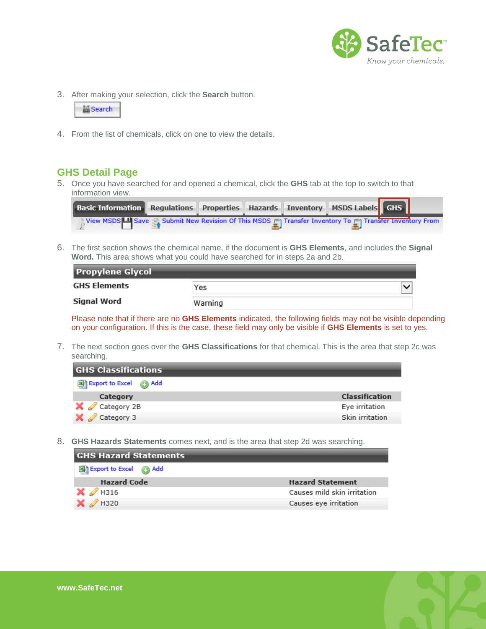

3. After making your selection, click the **Search** button.

|  |  | <b>Ex</b> Search |  |
|--|--|------------------|--|
|  |  |                  |  |

<span id="page-1-0"></span>4. From the list of chemicals, click on one to view the details.

#### **GHS Detail Page**

5. Once you have searched for and opened a chemical, click the **GHS** tab at the top to switch to that information view.

| Basic Information Regulations Properties Hazards Inventory MSDS Labels GHS                                                  |  |  |  |  |
|-----------------------------------------------------------------------------------------------------------------------------|--|--|--|--|
| . View MSDS $\Box$ Save $\Box$ Submit New Revision Of This MSDS $\Box$ Transfer Inventory To $\Box$ Transfer Inventory From |  |  |  |  |

6. The first section shows the chemical name, if the document is **GHS Elements**, and includes the **Signal Word.** This area shows what you could have searched for in steps 2a and 2b.

| <b>Propylene Glycol</b> |         |  |  |
|-------------------------|---------|--|--|
| <b>GHS Elements</b>     | Yes     |  |  |
| Signal Word             | Warning |  |  |

Please note that if there are no **GHS Elements** indicated, the following fields may not be visible depending on your configuration. If this is the case, these field may only be visible if **GHS Elements** is set to yes.

7. The next section goes over the **GHS Classifications** for that chemical. This is the area that step 2c was searching.

| Classification  |
|-----------------|
| Eye irritation  |
| Skin irritation |
|                 |

8. **GHS Hazards Statements** comes next, and is the area that step 2d was searching.

| <b>GHS Hazard Statements</b>    |                             |  |
|---------------------------------|-----------------------------|--|
| Export to Excel @ Add           |                             |  |
| <b>Hazard Code</b>              | <b>Hazard Statement</b>     |  |
| $\mathsf{X}$ $\mathscr{D}$ H316 | Causes mild skin irritation |  |
| H320                            | Causes eye irritation       |  |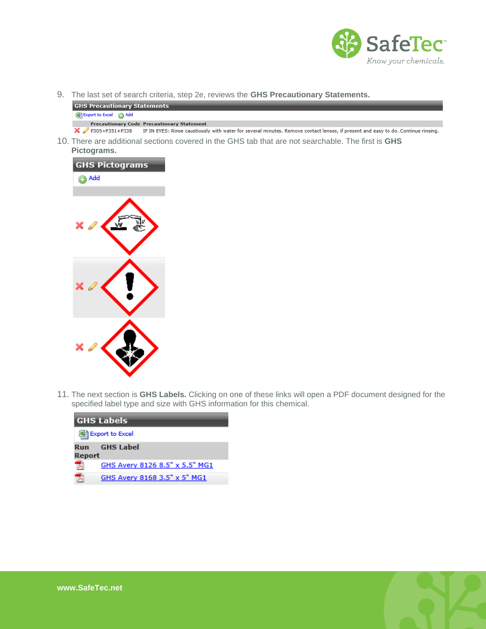



10. There are additional sections covered in the GHS tab that are not searchable. The first is **GHS Pictograms.**



11. The next section is **GHS Labels.** Clicking on one of these links will open a PDF document designed for the specified label type and size with GHS information for this chemical.

| <b>GHS Labels</b> |                                |  |  |  |
|-------------------|--------------------------------|--|--|--|
|                   | 图 Export to Excel              |  |  |  |
| Report            | <b>Run GHS</b> Label           |  |  |  |
|                   | GHS Avery 8126 8.5" x 5.5" MG1 |  |  |  |
|                   | GHS Avery 8168 3.5" x 5" MG1   |  |  |  |

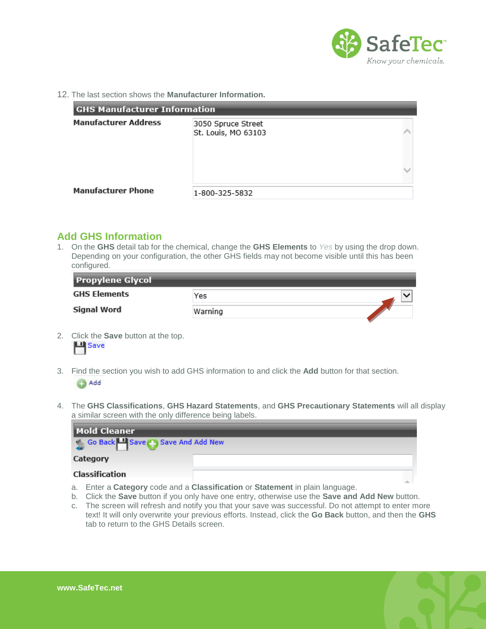

12. The last section shows the **Manufacturer Information.**

| <b>GHS Manufacturer Information</b> |                                           |  |  |
|-------------------------------------|-------------------------------------------|--|--|
| <b>Manufacturer Address</b>         | 3050 Spruce Street<br>St. Louis, MO 63103 |  |  |
|                                     |                                           |  |  |
| <b>Manufacturer Phone</b>           | 1-800-325-5832                            |  |  |

#### <span id="page-3-0"></span>**Add GHS Information**

1. On the **GHS** detail tab for the chemical, change the **GHS Elements** to *Yes* by using the drop down. Depending on your configuration, the other GHS fields may not become visible until this has been configured.

| <b>Propylene Glycol</b> |         |  |  |  |
|-------------------------|---------|--|--|--|
| <b>GHS Elements</b>     | Yes     |  |  |  |
| Signal Word             | Warning |  |  |  |

- 2. Click the **Save** button at the top. 凹 Save
- 3. Find the section you wish to add GHS information to and click the **Add** button for that section. Add
- 4. The **GHS Classifications**, **GHS Hazard Statements**, and **GHS Precautionary Statements** will all display a similar screen with the only difference being labels.



- a. Enter a **Category** code and a **Classification** or **Statement** in plain language.
- b. Click the **Save** button if you only have one entry, otherwise use the **Save and Add New** button.
- c. The screen will refresh and notify you that your save was successful. Do not attempt to enter more text! It will only overwrite your previous efforts. Instead, click the **Go Back** button, and then the **GHS**  tab to return to the GHS Details screen.